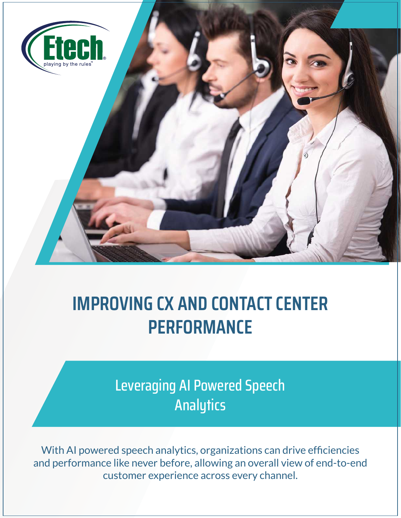

# **IMPROVING CX AND CONTACT CENTER PERFORMANCE**

Leveraging AI Powered Speech **Analytics** 

With AI powered speech analytics, organizations can drive efficiencies and performance like never before, allowing an overall view of end-to-end customer experience across every channel.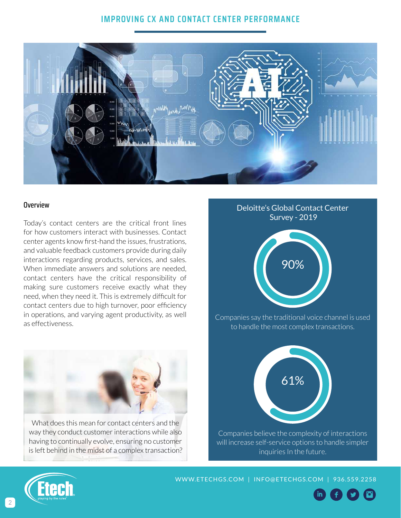# **IMPROVING CX AND CONTACT CENTER PERFORMANCE**



### **Overview**

Today's contact centers are the critical front lines for how customers interact with businesses. Contact center agents know first-hand the issues, frustrations, and valuable feedback customers provide during daily interactions regarding products, services, and sales. When immediate answers and solutions are needed, contact centers have the critical responsibility of making sure customers receive exactly what they need, when they need it. This is extremely difficult for contact centers due to high turnover, poor efficiency in operations, and varying agent productivity, as well as effectiveness.



What does this mean for contact centers and the way they conduct customer interactions while also having to continually evolve, ensuring no customer is left behind in the midst of a complex transaction?

# Deloitte's Global Contact Center Survey - 2019



Companies say the traditional voice channel is used to handle the most complex transactions.



Companies believe the complexity of interactions will increase self-service options to handle simpler inquiries In the future.



[WWW.ETECHGS.COM](http://www.etechgs.com) | [INFO@ETECHGS.COM](mailto:INFO%40ETECHGS.COM?subject=Whitepaper-Improving%20CX%20and%20Contact%20Center%20Performance) | 936.559.2258

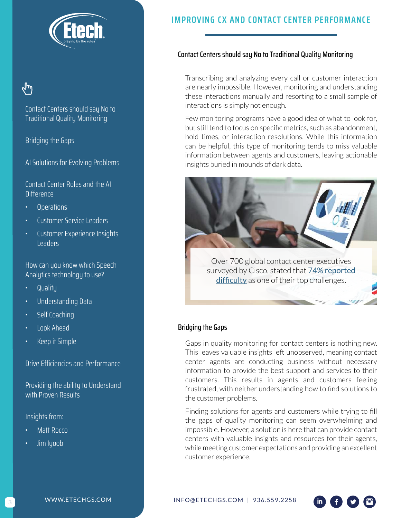

# لس

Contact Centers should say No to Traditional Quality Monitoring

Bridging the Gaps

AI Solutions for Evolving Problems

Contact Center Roles and the AI **Difference** 

- Operations
- Customer Service Leaders
- Customer Experience Insights Leaders

How can you know which Speech Analytics technology to use?

- Quality
- Understanding Data
- Self Coaching
- Look Ahead
- Keep it Simple

Drive Efficiencies and Performance

Providing the ability to Understand with Proven Results

Insights from:

- Matt Rocco
- Jim Iyoob

# **IMPROVING CX AND CONTACT CENTER PERFORMANCE**

### Contact Centers should say No to Traditional Quality Monitoring

Transcribing and analyzing every call or customer interaction are nearly impossible. However, monitoring and understanding these interactions manually and resorting to a small sample of interactions is simply not enough.

Few monitoring programs have a good idea of what to look for, but still tend to focus on specific metrics, such as abandonment, hold times, or interaction resolutions. While this information can be helpful, this type of monitoring tends to miss valuable information between agents and customers, leaving actionable insights buried in mounds of dark data.



surveyed by Cisco, stated that [74% reported](https://www.cisco.com/c/dam/en/us/products/collateral/contact-center/cc-global-survey-ebook.pdf)  [difficulty](https://www.cisco.com/c/dam/en/us/products/collateral/contact-center/cc-global-survey-ebook.pdf) as one of their top challenges.

# Bridging the Gaps

Gaps in quality monitoring for contact centers is nothing new. This leaves valuable insights left unobserved, meaning contact center agents are conducting business without necessary information to provide the best support and services to their customers. This results in agents and customers feeling frustrated, with neither understanding how to find solutions to the customer problems.

Finding solutions for agents and customers while trying to fill the gaps of quality monitoring can seem overwhelming and impossible. However, a solution is here that can provide contact centers with valuable insights and resources for their agents, while meeting customer expectations and providing an excellent customer experience.

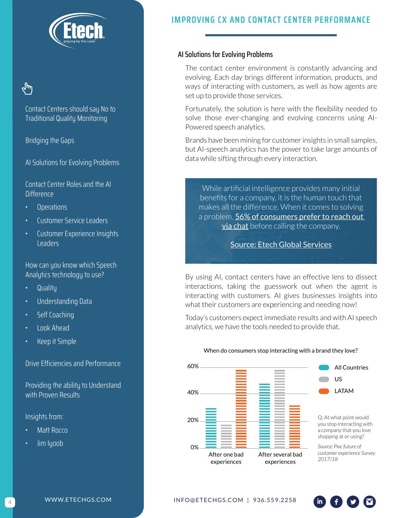

Contact Centers should say No to Traditional Quality Monitoring

Bridging the Gaps

AI Solutions for Evolving Problems

Contact Center Roles and the AI **Difference** 

- Operations
- Customer Service Leaders
- Customer Experience Insights Leaders

How can you know which Speech Analytics technology to use?

- Quality
- Understanding Data
- Self Coaching
- Look Ahead
- Keep it Simple

Drive Efficiencies and Performance

Providing the ability to Understand with Proven Results

Insights from:

- Matt Rocco
- Jim Iyoob

# **IMPROVING CX AND CONTACT CENTER PERFORMANCE**

# AI Solutions for Evolving Problems

The contact center environment is constantly advancing and evolving. Each day brings different information, products, and ways of interacting with customers, as well as how agents are set up to provide those services.

Fortunately, the solution is here with the flexibility needed to solve those ever-changing and evolving concerns using AI-Powered speech analytics.

Brands have been mining for customer insights in small samples, but AI-speech analytics has the power to take large amounts of data while sifting through every interaction.

While artificial intelligence provides many initial benefits for a company, it is the human touch that makes all the difference. When it comes to solving a problem, 56% of consumers prefer to reach out **[via chat](https://www.entrepreneur.com/article/325197)** before calling the company.

[Source: Etech Global Services](https://www.etechgs.com/are-your-contact-center-quality-monitoring-parameters-effective-2/)

By using AI, contact centers have an effective lens to dissect interactions, taking the guesswork out when the agent is interacting with customers. AI gives businesses insights into what their customers are experiencing and needing now!

Today's customers expect immediate results and with AI speech analytics, we have the tools needed to provide that.



#### When do consumers stop interacting with a brand they love?

*customer experience Survey* 

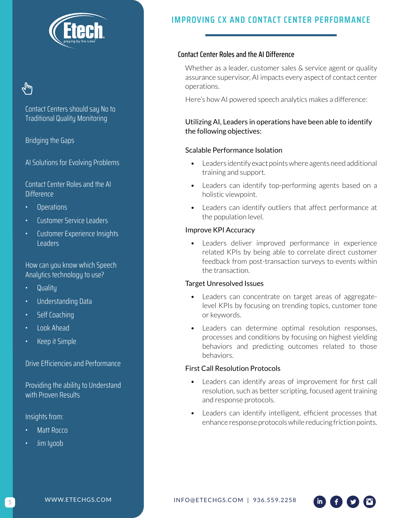

Contact Centers should say No to Traditional Quality Monitoring

Bridging the Gaps

AI Solutions for Evolving Problems

Contact Center Roles and the AI **Difference** 

- Operations
- Customer Service Leaders
- Customer Experience Insights Leaders

How can you know which Speech Analytics technology to use?

- Quality
- Understanding Data
- Self Coaching
- Look Ahead
- Keep it Simple

Drive Efficiencies and Performance

Providing the ability to Understand with Proven Results

Insights from:

- Matt Rocco
- Jim Iyoob

# **IMPROVING CX AND CONTACT CENTER PERFORMANCE**

# Contact Center Roles and the AI Difference

Whether as a leader, customer sales & service agent or quality assurance supervisor, AI impacts every aspect of contact center operations.

Here's how AI powered speech analytics makes a difference:

# Utilizing AI, Leaders in operations have been able to identify the following objectives:

### Scalable Performance Isolation

- Leaders identify exact points where agents need additional training and support.
- Leaders can identify top-performing agents based on a holistic viewpoint.
- Leaders can identify outliers that affect performance at the population level.

### Improve KPI Accuracy

• Leaders deliver improved performance in experience related KPIs by being able to correlate direct customer feedback from post-transaction surveys to events within the transaction.

### Target Unresolved Issues

- Leaders can concentrate on target areas of aggregatelevel KPIs by focusing on trending topics, customer tone or keywords.
- Leaders can determine optimal resolution responses, processes and conditions by focusing on highest yielding behaviors and predicting outcomes related to those behaviors.

### First Call Resolution Protocols

- Leaders can identify areas of improvement for first call resolution, such as better scripting, focused agent training and response protocols.
- Leaders can identify intelligent, efficient processes that enhance response protocols while reducing friction points.

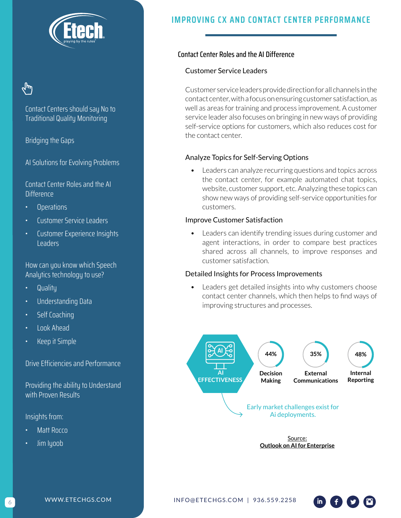

# لسرا

Contact Centers should say No to Traditional Quality Monitoring

Bridging the Gaps

AI Solutions for Evolving Problems

Contact Center Roles and the AI **Difference** 

- Operations
- Customer Service Leaders
- Customer Experience Insights Leaders

How can you know which Speech Analytics technology to use?

- Quality
- Understanding Data
- Self Coaching
- Look Ahead
- Keep it Simple

Drive Efficiencies and Performance

Providing the ability to Understand with Proven Results

Insights from:

- Matt Rocco
- Jim Iyoob

# **IMPROVING CX AND CONTACT CENTER PERFORMANCE**

# Contact Center Roles and the AI Difference

### Customer Service Leaders

Customer service leaders provide direction for all channels in the contact center, with a focus on ensuring customer satisfaction, as well as areas for training and process improvement. A customer service leader also focuses on bringing in new ways of providing self-service options for customers, which also reduces cost for the contact center.

### Analyze Topics for Self-Serving Options

• Leaders can analyze recurring questions and topics across the contact center, for example automated chat topics, website, customer support, etc. Analyzing these topics can show new ways of providing self-service opportunities for customers.

#### Improve Customer Satisfaction

Leaders can identify trending issues during customer and agent interactions, in order to compare best practices shared across all channels, to improve responses and customer satisfaction.

### Detailed Insights for Process Improvements

Leaders get detailed insights into why customers choose contact center channels, which then helps to find ways of improving structures and processes.



Source: **[Outlook on AI for Enterprise](https://narrativescience.com/resource/whitepaper/outlook-on-ai-for-the-enterprise/)**

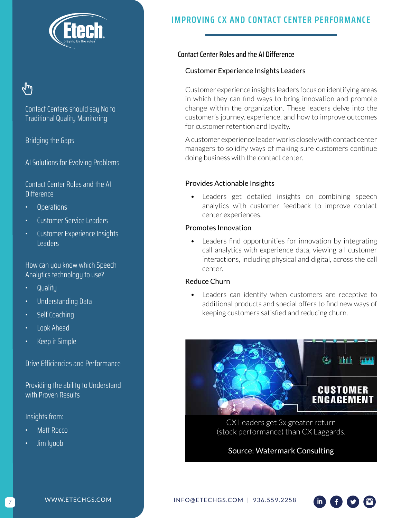

Contact Centers should say No to Traditional Quality Monitoring

Bridging the Gaps

AI Solutions for Evolving Problems

Contact Center Roles and the AI **Difference** 

- Operations
- Customer Service Leaders
- Customer Experience Insights Leaders

How can you know which Speech Analytics technology to use?

- Quality
- Understanding Data
- Self Coaching
- Look Ahead
- Keep it Simple

Drive Efficiencies and Performance

Providing the ability to Understand with Proven Results

Insights from:

- Matt Rocco
- Jim Iyoob

# **IMPROVING CX AND CONTACT CENTER PERFORMANCE**

# Contact Center Roles and the AI Difference

### Customer Experience Insights Leaders

Customer experience insights leaders focus on identifying areas in which they can find ways to bring innovation and promote change within the organization. These leaders delve into the customer's journey, experience, and how to improve outcomes for customer retention and loyalty.

A customer experience leader works closely with contact center managers to solidify ways of making sure customers continue doing business with the contact center.

### Provides Actionable Insights

Leaders get detailed insights on combining speech analytics with customer feedback to improve contact center experiences.

# Promotes Innovation

• Leaders find opportunities for innovation by integrating call analytics with experience data, viewing all customer interactions, including physical and digital, across the call center.

# Reduce Churn

Leaders can identify when customers are receptive to additional products and special offers to find new ways of keeping customers satisfied and reducing churn.



CX Leaders get 3x greater return (stock performance) than CX Laggards.

[Source: Watermark Consulting](https://www.watermarkconsult.net/wp-content/uploads/2019/01/Watermark-Consulting-2019-Customer-Experience-ROI-Study.pdf)



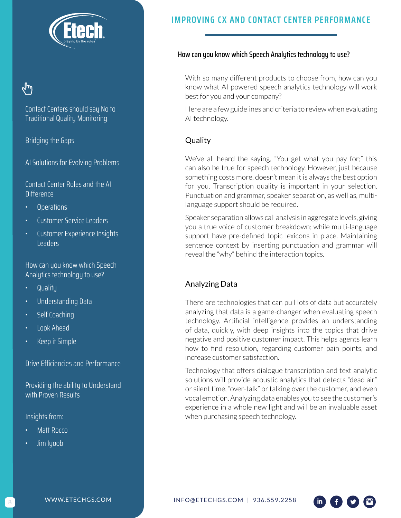

Contact Centers should say No to Traditional Quality Monitoring

Bridging the Gaps

AI Solutions for Evolving Problems

Contact Center Roles and the AI **Difference** 

- Operations
- Customer Service Leaders
- Customer Experience Insights Leaders

How can you know which Speech Analytics technology to use?

- Quality
- Understanding Data
- Self Coaching
- Look Ahead
- Keep it Simple

Drive Efficiencies and Performance

Providing the ability to Understand with Proven Results

Insights from:

- Matt Rocco
- Jim Iyoob

# **IMPROVING CX AND CONTACT CENTER PERFORMANCE**

#### How can you know which Speech Analytics technology to use?

With so many different products to choose from, how can you know what AI powered speech analytics technology will work best for you and your company?

Here are a few guidelines and criteria to review when evaluating AI technology.

# **Quality**

We've all heard the saying, "You get what you pay for;" this can also be true for speech technology. However, just because something costs more, doesn't mean it is always the best option for you. Transcription quality is important in your selection. Punctuation and grammar, speaker separation, as well as, multilanguage support should be required.

Speaker separation allows call analysis in aggregate levels, giving you a true voice of customer breakdown; while multi-language support have pre-defined topic lexicons in place. Maintaining sentence context by inserting punctuation and grammar will reveal the "why" behind the interaction topics.

# Analyzing Data

There are technologies that can pull lots of data but accurately analyzing that data is a game-changer when evaluating speech technology. Artificial intelligence provides an understanding of data, quickly, with deep insights into the topics that drive negative and positive customer impact. This helps agents learn how to find resolution, regarding customer pain points, and increase customer satisfaction.

Technology that offers dialogue transcription and text analytic solutions will provide acoustic analytics that detects "dead air" or silent time, "over-talk" or talking over the customer, and even vocal emotion. Analyzing data enables you to see the customer's experience in a whole new light and will be an invaluable asset when purchasing speech technology.

[INFO@ETECHGS.COM](mailto:INFO%40ETECHGS.COM?subject=Whitepaper-Improving%20CX%20and%20Contact%20Center%20Performance) | 936.559.2258

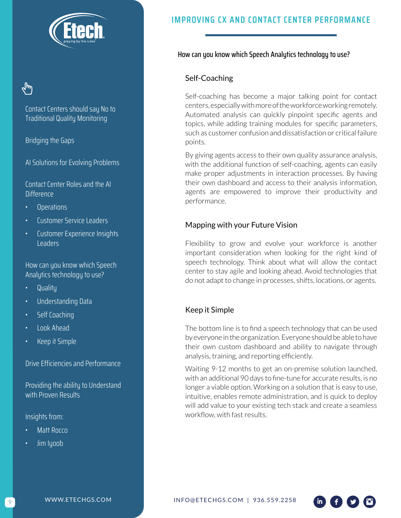

Contact Centers should say No to Traditional Quality Monitoring

Bridging the Gaps

AI Solutions for Evolving Problems

Contact Center Roles and the AI **Difference** 

- Operations
- Customer Service Leaders
- Customer Experience Insights Leaders

How can you know which Speech Analytics technology to use?

- Quality
- Understanding Data
- Self Coaching
- Look Ahead
- Keep it Simple

Drive Efficiencies and Performance

Providing the ability to Understand with Proven Results

Insights from:

- Matt Rocco
- Jim Iyoob

# **IMPROVING CX AND CONTACT CENTER PERFORMANCE**

# How can you know which Speech Analytics technology to use?

### Self-Coaching

Self-coaching has become a major talking point for contact centers, especially with more of the workforce working remotely. Automated analysis can quickly pinpoint specific agents and topics, while adding training modules for specific parameters, such as customer confusion and dissatisfaction or critical failure points.

By giving agents access to their own quality assurance analysis, with the additional function of self-coaching, agents can easily make proper adjustments in interaction processes. By having their own dashboard and access to their analysis information, agents are empowered to improve their productivity and performance.

# Mapping with your Future Vision

Flexibility to grow and evolve your workforce is another important consideration when looking for the right kind of speech technology. Think about what will allow the contact center to stay agile and looking ahead. Avoid technologies that do not adapt to change in processes, shifts, locations, or agents.

### Keep it Simple

The bottom line is to find a speech technology that can be used by everyone in the organization. Everyone should be able to have their own custom dashboard and ability to navigate through analysis, training, and reporting efficiently.

Waiting 9-12 months to get an on-premise solution launched, with an additional 90 days to fine-tune for accurate results, is no longer a viable option. Working on a solution that is easy to use, intuitive, enables remote administration, and is quick to deploy will add value to your existing tech stack and create a seamless workflow, with fast results.

[INFO@ETECHGS.COM](mailto:INFO%40ETECHGS.COM?subject=Whitepaper-Improving%20CX%20and%20Contact%20Center%20Performance) | 936.559.2258

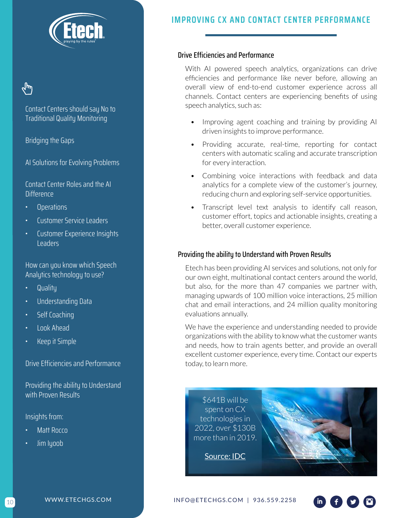

# ∕կµւ

Contact Centers should say No to Traditional Quality Monitoring

Bridging the Gaps

AI Solutions for Evolving Problems

Contact Center Roles and the AI **Difference** 

- Operations
- Customer Service Leaders
- Customer Experience Insights Leaders

How can you know which Speech Analytics technology to use?

- Quality
- Understanding Data
- Self Coaching
- Look Ahead
- Keep it Simple

Drive Efficiencies and Performance

Providing the ability to Understand with Proven Results

Insights from:

- Matt Rocco
- Jim Iyoob

# **IMPROVING CX AND CONTACT CENTER PERFORMANCE**

# Drive Efficiencies and Performance

With AI powered speech analytics, organizations can drive efficiencies and performance like never before, allowing an overall view of end-to-end customer experience across all channels. Contact centers are experiencing benefits of using speech analytics, such as:

- Improving agent coaching and training by providing AI driven insights to improve performance.
- Providing accurate, real-time, reporting for contact centers with automatic scaling and accurate transcription for every interaction.
- Combining voice interactions with feedback and data analytics for a complete view of the customer's journey, reducing churn and exploring self-service opportunities.
- Transcript level text analysis to identify call reason, customer effort, topics and actionable insights, creating a better, overall customer experience.

# Providing the ability to Understand with Proven Results

Etech has been providing AI services and solutions, not only for our own eight, multinational contact centers around the world, but also, for the more than 47 companies we partner with, managing upwards of 100 million voice interactions, 25 million chat and email interactions, and 24 million quality monitoring evaluations annually.

We have the experience and understanding needed to provide organizations with the ability to know what the customer wants and needs, how to train agents better, and provide an overall excellent customer experience, every time. Contact our experts today, to learn more.

\$641B will be spent on CX technologies in 2022, over \$130B more than in 2019.



[Source: IDC](https://www.idc.com/getdoc.jsp?containerId=prUS45422819)